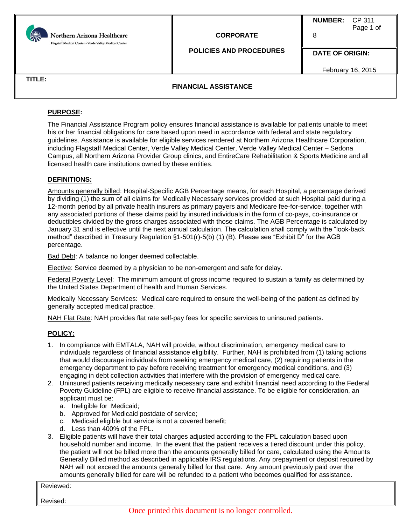

# **CORPORATE**

**NUMBER:** CP 311 Page 1 of 8

**POLICIES AND PROCEDURES**

**DATE OF ORIGIN:**

February 16, 2015

**TITLE:**

## **FINANCIAL ASSISTANCE**

## **PURPOSE:**

The Financial Assistance Program policy ensures financial assistance is available for patients unable to meet his or her financial obligations for care based upon need in accordance with federal and state regulatory guidelines. Assistance is available for eligible services rendered at Northern Arizona Healthcare Corporation, including Flagstaff Medical Center, Verde Valley Medical Center, Verde Valley Medical Center – Sedona Campus, all Northern Arizona Provider Group clinics, and EntireCare Rehabilitation & Sports Medicine and all licensed health care institutions owned by these entities.

#### **DEFINITIONS:**

Amounts generally billed: Hospital-Specific AGB Percentage means, for each Hospital, a percentage derived by dividing (1) the sum of all claims for Medically Necessary services provided at such Hospital paid during a 12-month period by all private health insurers as primary payers and Medicare fee-for-service, together with any associated portions of these claims paid by insured individuals in the form of co-pays, co-insurance or deductibles divided by the gross charges associated with those claims. The AGB Percentage is calculated by January 31 and is effective until the next annual calculation. The calculation shall comply with the "look-back method" described in Treasury Regulation §1-501(r)-5(b) (1) (B). Please see "Exhibit D" for the AGB percentage.

Bad Debt: A balance no longer deemed collectable.

Elective: Service deemed by a physician to be non-emergent and safe for delay.

Federal Poverty Level: The minimum amount of gross income required to sustain a family as determined by the United States Department of health and Human Services.

Medically Necessary Services: Medical care required to ensure the well-being of the patient as defined by generally accepted medical practice.

NAH Flat Rate: NAH provides flat rate self-pay fees for specific services to uninsured patients.

## **POLICY:**

- 1. In compliance with EMTALA, NAH will provide, without discrimination, emergency medical care to individuals regardless of financial assistance eligibility. Further, NAH is prohibited from (1) taking actions that would discourage individuals from seeking emergency medical care, (2) requiring patients in the emergency department to pay before receiving treatment for emergency medical conditions, and (3) engaging in debt collection activities that interfere with the provision of emergency medical care.
- 2. Uninsured patients receiving medically necessary care and exhibit financial need according to the Federal Poverty Guideline (FPL) are eligible to receive financial assistance. To be eligible for consideration, an applicant must be:
	- a. Ineligible for Medicaid;
	- b. Approved for Medicaid postdate of service;
	- c. Medicaid eligible but service is not a covered benefit;
	- d. Less than 400% of the FPL.
- 3. Eligible patients will have their total charges adjusted according to the FPL calculation based upon household number and income. In the event that the patient receives a tiered discount under this policy, the patient will not be billed more than the amounts generally billed for care, calculated using the Amounts Generally Billed method as described in applicable IRS regulations. Any prepayment or deposit required by NAH will not exceed the amounts generally billed for that care. Any amount previously paid over the amounts generally billed for care will be refunded to a patient who becomes qualified for assistance.

Reviewed: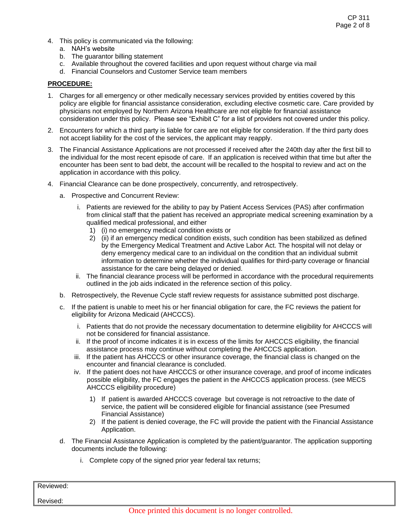- 4. This policy is communicated via the following:
	- a. NAH's website
	- b. The guarantor billing statement
	- c. Available throughout the covered facilities and upon request without charge via mail
	- d. Financial Counselors and Customer Service team members

#### **PROCEDURE:**

- 1. Charges for all emergency or other medically necessary services provided by entities covered by this policy are eligible for financial assistance consideration, excluding elective cosmetic care. Care provided by physicians not employed by Northern Arizona Healthcare are not eligible for financial assistance consideration under this policy. Please see "Exhibit C" for a list of providers not covered under this policy.
- 2. Encounters for which a third party is liable for care are not eligible for consideration. If the third party does not accept liability for the cost of the services, the applicant may reapply.
- 3. The Financial Assistance Applications are not processed if received after the 240th day after the first bill to the individual for the most recent episode of care. If an application is received within that time but after the encounter has been sent to bad debt, the account will be recalled to the hospital to review and act on the application in accordance with this policy.
- 4. Financial Clearance can be done prospectively, concurrently, and retrospectively.
	- a. Prospective and Concurrent Review:
		- i. Patients are reviewed for the ability to pay by Patient Access Services (PAS) after confirmation from clinical staff that the patient has received an appropriate medical screening examination by a qualified medical professional, and either
			- 1) (i) no emergency medical condition exists or
			- 2) (ii) if an emergency medical condition exists, such condition has been stabilized as defined by the Emergency Medical Treatment and Active Labor Act. The hospital will not delay or deny emergency medical care to an individual on the condition that an individual submit information to determine whether the individual qualifies for third-party coverage or financial assistance for the care being delayed or denied.
		- ii. The financial clearance process will be performed in accordance with the procedural requirements outlined in the job aids indicated in the reference section of this policy.
	- b. Retrospectively, the Revenue Cycle staff review requests for assistance submitted post discharge.
	- c. If the patient is unable to meet his or her financial obligation for care, the FC reviews the patient for eligibility for Arizona Medicaid (AHCCCS).
		- i. Patients that do not provide the necessary documentation to determine eligibility for AHCCCS will not be considered for financial assistance.
		- ii. If the proof of income indicates it is in excess of the limits for AHCCCS eligibility, the financial assistance process may continue without completing the AHCCCS application.
		- iii. If the patient has AHCCCS or other insurance coverage, the financial class is changed on the encounter and financial clearance is concluded.
		- iv. If the patient does not have AHCCCS or other insurance coverage, and proof of income indicates possible eligibility, the FC engages the patient in the AHCCCS application process. (see MECS AHCCCS eligibility procedure)
			- 1) If patient is awarded AHCCCS coverage but coverage is not retroactive to the date of service, the patient will be considered eligible for financial assistance (see Presumed Financial Assistance)
			- 2) If the patient is denied coverage, the FC will provide the patient with the Financial Assistance Application.
	- d. The Financial Assistance Application is completed by the patient/guarantor. The application supporting documents include the following:
		- i. Complete copy of the signed prior year federal tax returns;

| Reviewed: |                                                    |  |
|-----------|----------------------------------------------------|--|
| Revised:  |                                                    |  |
|           | Once printed this document is no longer controlled |  |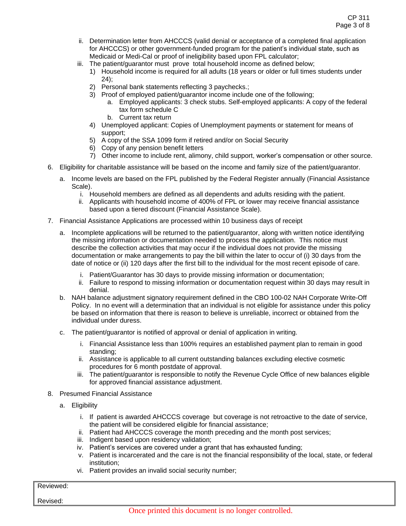- ii. Determination letter from AHCCCS (valid denial or acceptance of a completed final application for AHCCCS) or other government-funded program for the patient's individual state, such as Medicaid or Medi-Cal or proof of ineligibility based upon FPL calculator;
- iii. The patient/guarantor must prove total household income as defined below;
	- 1) Household income is required for all adults (18 years or older or full times students under 24);
	- 2) Personal bank statements reflecting 3 paychecks.;
	- 3) Proof of employed patient/guarantor income include one of the following;
		- a. Employed applicants: 3 check stubs. Self-employed applicants: A copy of the federal tax form schedule C
		- b. Current tax return
	- 4) Unemployed applicant: Copies of Unemployment payments or statement for means of support;
	- 5) A copy of the SSA 1099 form if retired and/or on Social Security
	- 6) Copy of any pension benefit letters
	- 7) Other income to include rent, alimony, child support, worker's compensation or other source.
- 6. Eligibility for charitable assistance will be based on the income and family size of the patient/guarantor.
	- a. Income levels are based on the FPL published by the Federal Register annually (Financial Assistance Scale).
		- i. Household members are defined as all dependents and adults residing with the patient.
		- ii. Applicants with household income of 400% of FPL or lower may receive financial assistance based upon a tiered discount (Financial Assistance Scale).
- 7. Financial Assistance Applications are processed within 10 business days of receipt
	- a. Incomplete applications will be returned to the patient/guarantor, along with written notice identifying the missing information or documentation needed to process the application. This notice must describe the collection activities that may occur if the individual does not provide the missing documentation or make arrangements to pay the bill within the later to occur of (i) 30 days from the date of notice or (ii) 120 days after the first bill to the individual for the most recent episode of care.
		- i. Patient/Guarantor has 30 days to provide missing information or documentation;
		- ii. Failure to respond to missing information or documentation request within 30 days may result in denial.
	- b. NAH balance adjustment signatory requirement defined in the CBO 100-02 NAH Corporate Write-Off Policy. In no event will a determination that an individual is not eligible for assistance under this policy be based on information that there is reason to believe is unreliable, incorrect or obtained from the individual under duress.
	- c. The patient/guarantor is notified of approval or denial of application in writing.
		- i. Financial Assistance less than 100% requires an established payment plan to remain in good standing;
		- ii. Assistance is applicable to all current outstanding balances excluding elective cosmetic procedures for 6 month postdate of approval.
		- iii. The patient/guarantor is responsible to notify the Revenue Cycle Office of new balances eligible for approved financial assistance adjustment.
- 8. Presumed Financial Assistance
	- a. Eligibility
		- i. If patient is awarded AHCCCS coverage but coverage is not retroactive to the date of service, the patient will be considered eligible for financial assistance;
		- ii. Patient had AHCCCS coverage the month preceding and the month post services;
		- iii. Indigent based upon residency validation;
		- iv. Patient's services are covered under a grant that has exhausted funding;
		- v. Patient is incarcerated and the care is not the financial responsibility of the local, state, or federal institution;
		- vi. Patient provides an invalid social security number;

# Reviewed: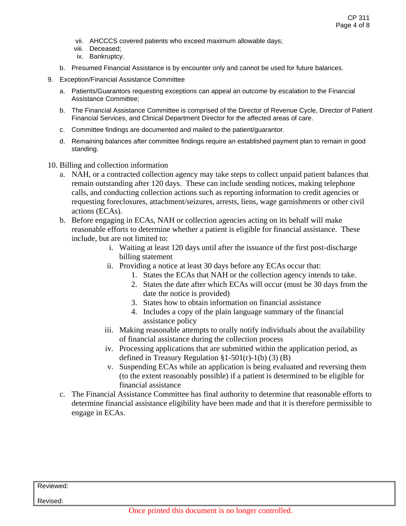- vii. AHCCCS covered patients who exceed maximum allowable days;
- viii. Deceased;
- ix. Bankruptcy.
- b. Presumed Financial Assistance is by encounter only and cannot be used for future balances.
- 9. Exception/Financial Assistance Committee
	- a. Patients/Guarantors requesting exceptions can appeal an outcome by escalation to the Financial Assistance Committee;
	- b. The Financial Assistance Committee is comprised of the Director of Revenue Cycle, Director of Patient Financial Services, and Clinical Department Director for the affected areas of care.
	- c. Committee findings are documented and mailed to the patient/guarantor.
	- d. Remaining balances after committee findings require an established payment plan to remain in good standing.
- 10. Billing and collection information
	- a. NAH, or a contracted collection agency may take steps to collect unpaid patient balances that remain outstanding after 120 days. These can include sending notices, making telephone calls, and conducting collection actions such as reporting information to credit agencies or requesting foreclosures, attachment/seizures, arrests, liens, wage garnishments or other civil actions (ECAs).
	- b. Before engaging in ECAs, NAH or collection agencies acting on its behalf will make reasonable efforts to determine whether a patient is eligible for financial assistance. These include, but are not limited to:
		- i. Waiting at least 120 days until after the issuance of the first post-discharge billing statement
		- ii. Providing a notice at least 30 days before any ECAs occur that:
			- 1. States the ECAs that NAH or the collection agency intends to take.
			- 2. States the date after which ECAs will occur (must be 30 days from the date the notice is provided)
			- 3. States how to obtain information on financial assistance
			- 4. Includes a copy of the plain language summary of the financial assistance policy
		- iii. Making reasonable attempts to orally notify individuals about the availability of financial assistance during the collection process
		- iv. Processing applications that are submitted within the application period, as defined in Treasury Regulation  $\S1-501(r)-1(b)$  (3) (B)
		- v. Suspending ECAs while an application is being evaluated and reversing them (to the extent reasonably possible) if a patient is determined to be eligible for financial assistance
	- c. The Financial Assistance Committee has final authority to determine that reasonable efforts to determine financial assistance eligibility have been made and that it is therefore permissible to engage in ECAs.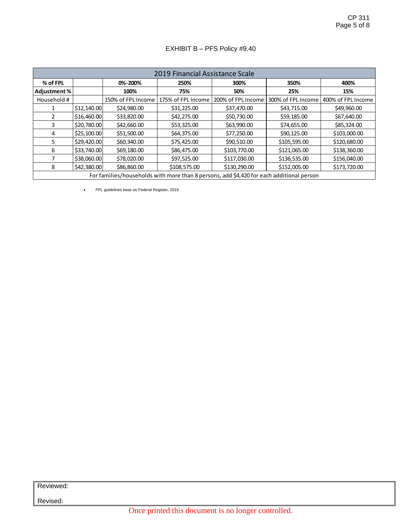# EXHIBIT B – PFS Policy #9.40

| 2019 Financial Assistance Scale                                                          |             |                    |                    |                    |                    |                    |  |  |
|------------------------------------------------------------------------------------------|-------------|--------------------|--------------------|--------------------|--------------------|--------------------|--|--|
| % of FPL                                                                                 |             | 0%-200%            | 250%               | 300%               | 350%               | 400%               |  |  |
| Adjustment %                                                                             |             | 100%               | 75%                | 50%                | 25%                | 15%                |  |  |
| Household #                                                                              |             | 150% of FPL Income | 175% of FPL Income | 200% of FPL Income | 300% of FPL Income | 400% of FPL Income |  |  |
|                                                                                          | \$12,140.00 | \$24,980.00        | \$31,225.00        | \$37,470.00        | \$43,715.00        | \$49,960.00        |  |  |
| 2                                                                                        | \$16,460.00 | \$33,820.00        | \$42,275.00        | \$50,730.00        | \$59,185.00        | \$67,640.00        |  |  |
| 3                                                                                        | \$20,780.00 | \$42,660.00        | \$53,325.00        | \$63,990.00        | \$74,655.00        | \$85,324.00        |  |  |
| 4                                                                                        | \$25,100.00 | \$51,500.00        | \$64,375.00        | \$77,250.00        | \$90,125.00        | \$103,000.00       |  |  |
| 5                                                                                        | \$29,420.00 | \$60,340.00        | \$75,425.00        | \$90,510.00        | \$105,595.00       | \$120,680.00       |  |  |
| 6                                                                                        | \$33,740.00 | \$69,180.00        | \$86,475.00        | \$103,770.00       | \$121,065.00       | \$138,360.00       |  |  |
| 7                                                                                        | \$38,060.00 | \$78,020.00        | \$97,525.00        | \$117,030.00       | \$136,535.00       | \$156,040.00       |  |  |
| 8                                                                                        | \$42,380.00 | \$86,860.00        | \$108,575.00       | \$130,290.00       | \$152,005.00       | \$173,720.00       |  |  |
| For families/households with more than 8 persons, add \$4,420 for each additional person |             |                    |                    |                    |                    |                    |  |  |

FPL guidelines base on Federal Register, 2019

Reviewed:

Revised:

Once printed this document is no longer controlled.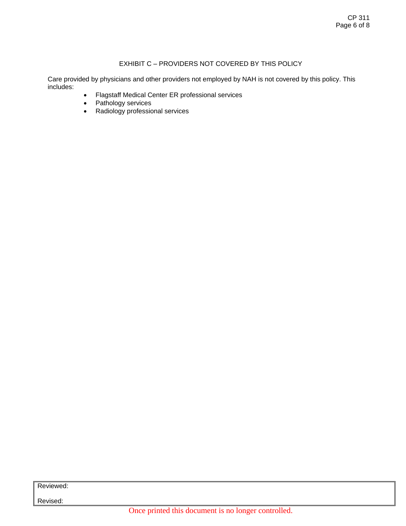## EXHIBIT C – PROVIDERS NOT COVERED BY THIS POLICY

Care provided by physicians and other providers not employed by NAH is not covered by this policy. This includes:

- Flagstaff Medical Center ER professional services
- Pathology services
- Radiology professional services

Reviewed: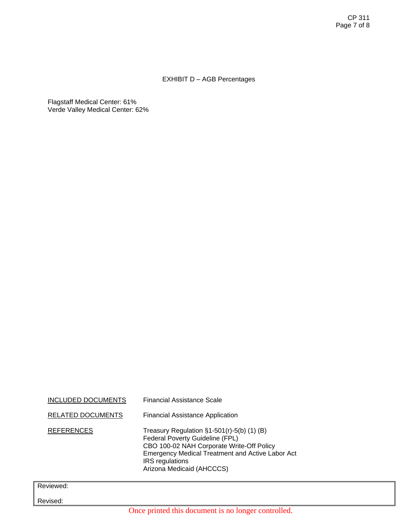# EXHIBIT D – AGB Percentages

Flagstaff Medical Center: 61% Verde Valley Medical Center: 62%

| INCLUDED DOCUMENTS | Financial Assistance Scale                                                                                                                                                                                                                      |
|--------------------|-------------------------------------------------------------------------------------------------------------------------------------------------------------------------------------------------------------------------------------------------|
| RELATED DOCUMENTS  | <b>Financial Assistance Application</b>                                                                                                                                                                                                         |
| <b>REFERENCES</b>  | Treasury Regulation $\S1-501(r)-5(b)$ (1) (B)<br>Federal Poverty Guideline (FPL)<br>CBO 100-02 NAH Corporate Write-Off Policy<br><b>Emergency Medical Treatment and Active Labor Act</b><br><b>IRS</b> regulations<br>Arizona Medicaid (AHCCCS) |
| Reviewed:          |                                                                                                                                                                                                                                                 |
| Revised:           |                                                                                                                                                                                                                                                 |
|                    | Once printed this document is no longer controlled.                                                                                                                                                                                             |